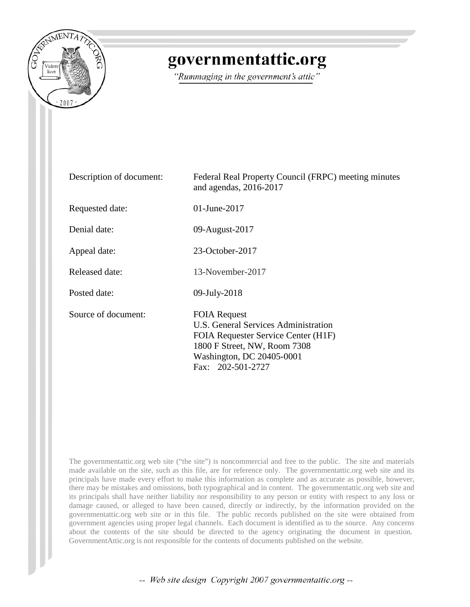

## governmentattic.org

"Rummaging in the government's attic"

| Description of document: | Federal Real Property Council (FRPC) meeting minutes<br>and agendas, 2016-2017                                                                                                       |
|--------------------------|--------------------------------------------------------------------------------------------------------------------------------------------------------------------------------------|
| Requested date:          | 01-June-2017                                                                                                                                                                         |
| Denial date:             | 09-August-2017                                                                                                                                                                       |
| Appeal date:             | 23-October-2017                                                                                                                                                                      |
| <b>Released date:</b>    | 13-November-2017                                                                                                                                                                     |
| Posted date:             | 09-July-2018                                                                                                                                                                         |
| Source of document:      | <b>FOIA Request</b><br>U.S. General Services Administration<br>FOIA Requester Service Center (H1F)<br>1800 F Street, NW, Room 7308<br>Washington, DC 20405-0001<br>Fax: 202-501-2727 |

The governmentattic.org web site ("the site") is noncommercial and free to the public. The site and materials made available on the site, such as this file, are for reference only. The governmentattic.org web site and its principals have made every effort to make this information as complete and as accurate as possible, however, there may be mistakes and omissions, both typographical and in content. The governmentattic.org web site and its principals shall have neither liability nor responsibility to any person or entity with respect to any loss or damage caused, or alleged to have been caused, directly or indirectly, by the information provided on the governmentattic.org web site or in this file. The public records published on the site were obtained from government agencies using proper legal channels. Each document is identified as to the source. Any concerns about the contents of the site should be directed to the agency originating the document in question. GovernmentAttic.org is not responsible for the contents of documents published on the website.

-- Web site design Copyright 2007 governmentattic.org --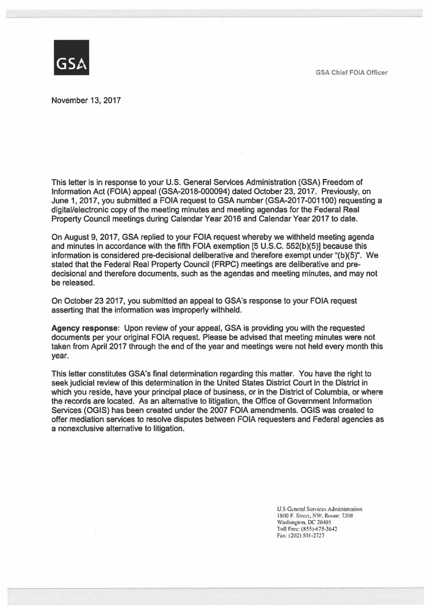GSA Chief FOIA Officer



November 13, 2017

This letter is in response to your U.S. General Services Administration (GSA) Freedom of Information Act (FOIA) appeal (GSA-2018-000094) dated October 23, 2017. Previously, on June 1, 2017, you submitted a FOIA request to GSA number (GSA-2017-001100) requesting a digital/electronic copy of the meeting minutes and meeting agendas for the Federal Real Property Council meetings during Calendar Year 2016 and Calendar Year 2017 to date.

On August 9, 2017, GSA replied to your FOIA request whereby we withheld meeting agenda and minutes in accordance with the fifth FOIA exemption [5 U.S.C. 552(b)(5)] because this information is considered pre-decisional deliberative and therefore exempt under "(b)(5)". We stated that the Federal Real Property Council (FRPC) meetings are deliberative and predecisional and therefore documents, such as the agendas and meeting minutes, and may not be released.

On October 23 2017, you submitted an appeal to GSA's response to your FOIA request asserting that the information was improperly withheld.

**Agency response:** Upon review of your appeal, GSA is providing you with the requested documents per your original FOIA request. Please be advised that meeting minutes were not taken from April 2017 through the end of the year and meetings were not held every month this year.

This letter constitutes GSA's final determination regarding this matter. You have the right to seek judicial review of this determination in the United States District Court in the District in which you reside, have your principal place of business, or in the District of Columbia, or where the records are located. As an alternative to litigation, the Office of Government Information Services (OGIS) has been created under the 2007 FOIA amendments. OGIS was created to offer mediation services to resolve disputes between FOIA requesters and Federal agencies as a nonexclusive alternative to litigation.

> U.S General Services Administration 1800 F. Street, NW, Room; 7308 Washington, DC 20405 Toll Free: (855)-675-3642. Fax; (202) 501-2727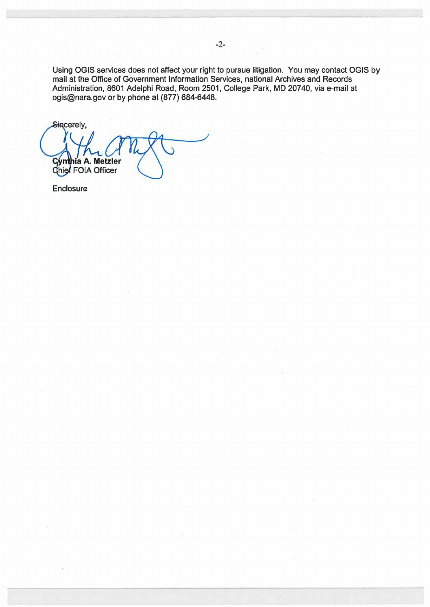Using OGIS services does not affect your right to pursue litigation. You may contact OGIS by mail at the Office of Government Information Services, national Archives and Records Administration, 8601 Adelphi Road, Room 2501, College Park, MD 20740, via e-mail at ogis@nara.gov or by phone at (877) 684-6448.

Sincerely, Cynthia A. Metzle hia A. Metzler

Enclosure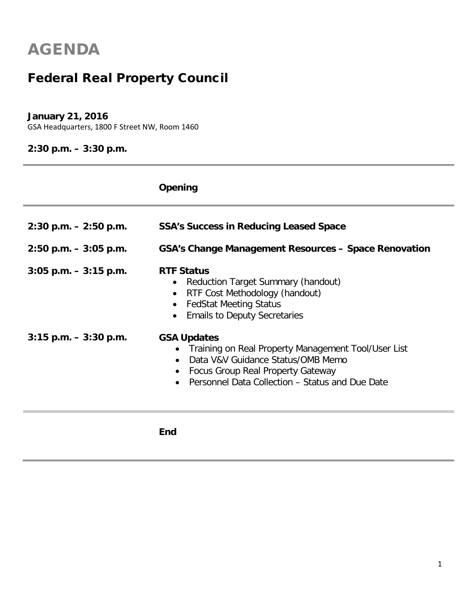### Federal Real Property Council

#### **January 21, 2016**

GSA Headquarters, 1800 F Street NW, Room 1460

#### **2:30 p.m. – 3:30 p.m.**

|                                                      | Opening                                                                                                                                                                                                    |
|------------------------------------------------------|------------------------------------------------------------------------------------------------------------------------------------------------------------------------------------------------------------|
| $2:30$ p.m. $-2:50$ p.m.<br>$2:50$ p.m. $-3:05$ p.m. | <b>SSA's Success in Reducing Leased Space</b><br><b>GSA's Change Management Resources - Space Renovation</b>                                                                                               |
| $3:05$ p.m. $-3:15$ p.m.                             | <b>RTF Status</b><br>Reduction Target Summary (handout)<br>$\bullet$<br>RTF Cost Methodology (handout)<br>$\bullet$<br><b>FedStat Meeting Status</b><br>$\bullet$<br><b>Emails to Deputy Secretaries</b>   |
| $3:15$ p.m. $-3:30$ p.m.                             | <b>GSA Updates</b><br>• Training on Real Property Management Tool/User List<br>Data V&V Guidance Status/OMB Memo<br>• Focus Group Real Property Gateway<br>Personnel Data Collection - Status and Due Date |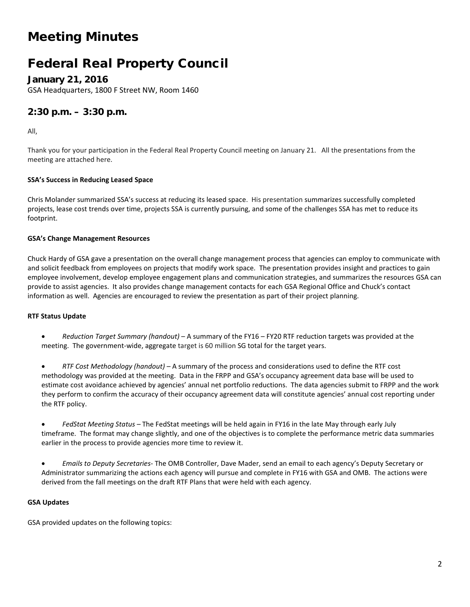### Meeting Minutes

### Federal Real Property Council

**January 21, 2016**

GSA Headquarters, 1800 F Street NW, Room 1460

#### **2:30 p.m. – 3:30 p.m.**

All,

Thank you for your participation in the Federal Real Property Council meeting on January 21. All the presentations from the meeting are attached here.

#### **SSA's Success in Reducing Leased Space**

Chris Molander summarized SSA's success at reducing its leased space. His presentation summarizes successfully completed projects, lease cost trends over time, projects SSA is currently pursuing, and some of the challenges SSA has met to reduce its footprint.

#### **GSA's Change Management Resources**

Chuck Hardy of GSA gave a presentation on the overall change management process that agencies can employ to communicate with and solicit feedback from employees on projects that modify work space. The presentation provides insight and practices to gain employee involvement, develop employee engagement plans and communication strategies, and summarizes the resources GSA can provide to assist agencies. It also provides change management contacts for each GSA Regional Office and Chuck's contact information as well. Agencies are encouraged to review the presentation as part of their project planning.

#### **RTF Status Update**

- *Reduction Target Summary (handout)* A summary of the FY16 FY20 RTF reduction targets was provided at the meeting. The government-wide, aggregate target is 60 million SG total for the target years.
- *RTF Cost Methodology (handout) –* A summary of the process and considerations used to define the RTF cost methodology was provided at the meeting. Data in the FRPP and GSA's occupancy agreement data base will be used to estimate cost avoidance achieved by agencies' annual net portfolio reductions. The data agencies submit to FRPP and the work they perform to confirm the accuracy of their occupancy agreement data will constitute agencies' annual cost reporting under the RTF policy.
- *FedStat Meeting Status –* The FedStat meetings will be held again in FY16 in the late May through early July timeframe. The format may change slightly, and one of the objectives is to complete the performance metric data summaries earlier in the process to provide agencies more time to review it.
- *Emails to Deputy Secretaries-* The OMB Controller, Dave Mader, send an email to each agency's Deputy Secretary or Administrator summarizing the actions each agency will pursue and complete in FY16 with GSA and OMB. The actions were derived from the fall meetings on the draft RTF Plans that were held with each agency.

#### **GSA Updates**

GSA provided updates on the following topics: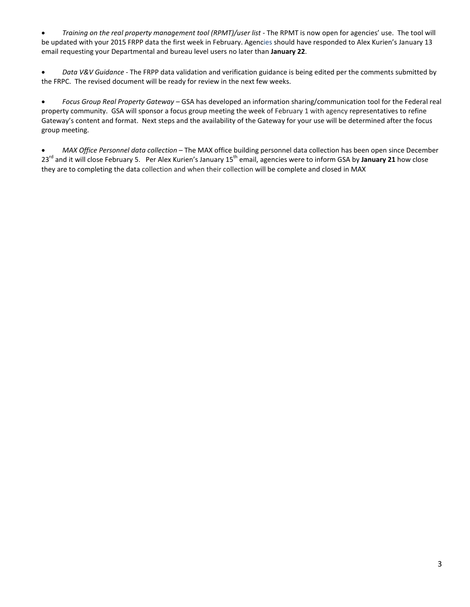• *Training on the real property management tool (RPMT)/user list* - The RPMT is now open for agencies' use. The tool will be updated with your 2015 FRPP data the first week in February. Agencies should have responded to Alex Kurien's January 13 email requesting your Departmental and bureau level users no later than **January 22**.

• *Data V&V Guidance* - The FRPP data validation and verification guidance is being edited per the comments submitted by the FRPC. The revised document will be ready for review in the next few weeks.

• *Focus Group Real Property Gateway* – GSA has developed an information sharing/communication tool for the Federal real property community. GSA will sponsor a focus group meeting the week of February 1 with agency representatives to refine Gateway's content and format. Next steps and the availability of the Gateway for your use will be determined after the focus group meeting.

• *MAX Office Personnel data collection* – The MAX office building personnel data collection has been open since December 23rd and it will close February 5. Per Alex Kurien's January 15th email, agencies were to inform GSA by **January 21** how close they are to completing the data collection and when their collection will be complete and closed in MAX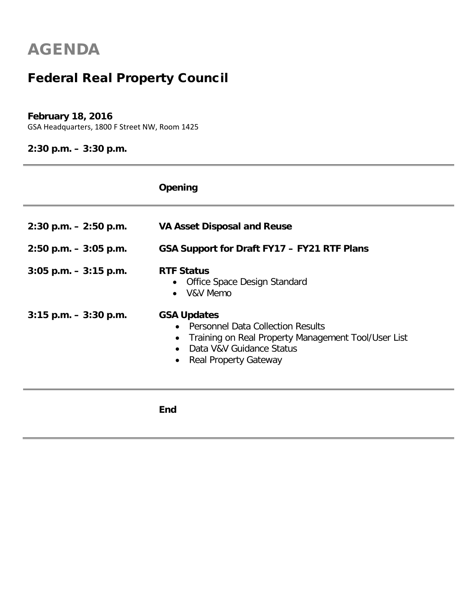## Federal Real Property Council

#### **February 18, 2016**

GSA Headquarters, 1800 F Street NW, Room 1425

**2:30 p.m. – 3:30 p.m.**

|                          | Opening                                                                                                                                                                                   |
|--------------------------|-------------------------------------------------------------------------------------------------------------------------------------------------------------------------------------------|
| $2:30$ p.m. $-2:50$ p.m. | <b>VA Asset Disposal and Reuse</b>                                                                                                                                                        |
| $2:50$ p.m. $-3:05$ p.m. | GSA Support for Draft FY17 - FY21 RTF Plans                                                                                                                                               |
| $3:05$ p.m. $-3:15$ p.m. | <b>RTF Status</b><br>Office Space Design Standard<br>$\bullet$<br>V&V Memo                                                                                                                |
| $3:15$ p.m. $-3:30$ p.m. | <b>GSA Updates</b><br>• Personnel Data Collection Results<br>Training on Real Property Management Tool/User List<br>$\bullet$<br>Data V&V Guidance Status<br><b>Real Property Gateway</b> |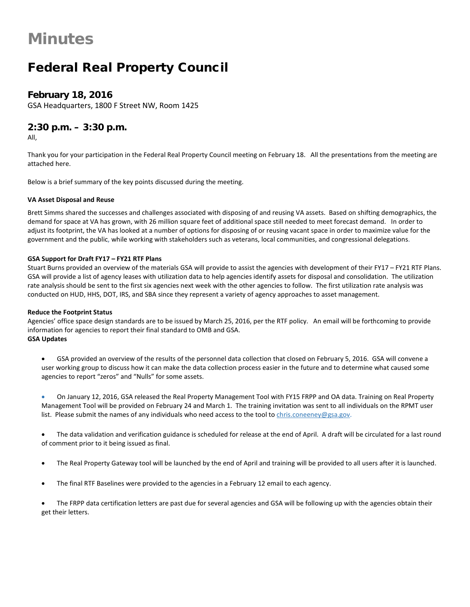### Federal Real Property Council

#### **February 18, 2016**

GSA Headquarters, 1800 F Street NW, Room 1425

#### **2:30 p.m. – 3:30 p.m.**

All,

Thank you for your participation in the Federal Real Property Council meeting on February 18. All the presentations from the meeting are attached here.

Below is a brief summary of the key points discussed during the meeting.

#### **VA Asset Disposal and Reuse**

Brett Simms shared the successes and challenges associated with disposing of and reusing VA assets. Based on shifting demographics, the demand for space at VA has grown, with 26 million square feet of additional space still needed to meet forecast demand. In order to adjust its footprint, the VA has looked at a number of options for disposing of or reusing vacant space in order to maximize value for the government and the public, while working with stakeholders such as veterans, local communities, and congressional delegations.

#### **GSA Support for Draft FY17 – FY21 RTF Plans**

Stuart Burns provided an overview of the materials GSA will provide to assist the agencies with development of their FY17 – FY21 RTF Plans. GSA will provide a list of agency leases with utilization data to help agencies identify assets for disposal and consolidation. The utilization rate analysis should be sent to the first six agencies next week with the other agencies to follow. The first utilization rate analysis was conducted on HUD, HHS, DOT, IRS, and SBA since they represent a variety of agency approaches to asset management.

#### **Reduce the Footprint Status**

Agencies' office space design standards are to be issued by March 25, 2016, per the RTF policy. An email will be forthcoming to provide information for agencies to report their final standard to OMB and GSA. **GSA Updates**

• GSA provided an overview of the results of the personnel data collection that closed on February 5, 2016. GSA will convene a user working group to discuss how it can make the data collection process easier in the future and to determine what caused some agencies to report "zeros" and "Nulls" for some assets.

• On January 12, 2016, GSA released the Real Property Management Tool with FY15 FRPP and OA data. Training on Real Property Management Tool will be provided on February 24 and March 1. The training invitation was sent to all individuals on the RPMT user list. Please submit the names of any individuals who need access to the tool to [chris.coneeney@gsa.gov.](mailto:chris.coneeney@gsa.gov)

The data validation and verification guidance is scheduled for release at the end of April. A draft will be circulated for a last round of comment prior to it being issued as final.

- The Real Property Gateway tool will be launched by the end of April and training will be provided to all users after it is launched.
- The final RTF Baselines were provided to the agencies in a February 12 email to each agency.

• The FRPP data certification letters are past due for several agencies and GSA will be following up with the agencies obtain their get their letters.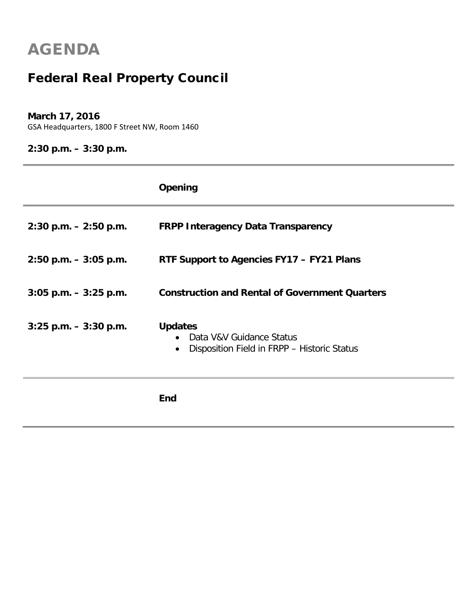## Federal Real Property Council

#### **March 17, 2016**

GSA Headquarters, 1800 F Street NW, Room 1460

**2:30 p.m. – 3:30 p.m.**

|                          | Opening                                                                                                |
|--------------------------|--------------------------------------------------------------------------------------------------------|
| $2:30$ p.m. $-2:50$ p.m. | <b>FRPP Interagency Data Transparency</b>                                                              |
| $2:50$ p.m. $-3:05$ p.m. | RTF Support to Agencies FY17 - FY21 Plans                                                              |
| $3:05$ p.m. $-3:25$ p.m. | <b>Construction and Rental of Government Quarters</b>                                                  |
| $3:25$ p.m. $-3:30$ p.m. | <b>Updates</b><br>Data V&V Guidance Status<br>Disposition Field in FRPP - Historic Status<br>$\bullet$ |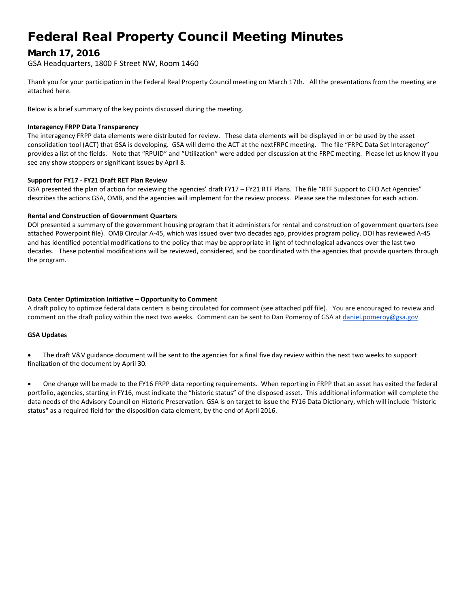### Federal Real Property Council Meeting Minutes

#### **March 17, 2016**

GSA Headquarters, 1800 F Street NW, Room 1460

Thank you for your participation in the Federal Real Property Council meeting on March 17th. All the presentations from the meeting are attached here.

Below is a brief summary of the key points discussed during the meeting.

#### **Interagency FRPP Data Transparency**

The interagency FRPP data elements were distributed for review. These data elements will be displayed in or be used by the asset consolidation tool (ACT) that GSA is developing. GSA will demo the ACT at the nextFRPC meeting. The file "FRPC Data Set Interagency" provides a list of the fields. Note that "RPUID" and "Utilization" were added per discussion at the FRPC meeting. Please let us know if you see any show stoppers or significant issues by April 8.

#### **Support for FY17 - FY21 Draft RET Plan Review**

GSA presented the plan of action for reviewing the agencies' draft FY17 – FY21 RTF Plans. The file "RTF Support to CFO Act Agencies" describes the actions GSA, OMB, and the agencies will implement for the review process. Please see the milestones for each action.

#### **Rental and Construction of Government Quarters**

DOI presented a summary of the government housing program that it administers for rental and construction of government quarters (see attached Powerpoint file). OMB Circular A-45, which was issued over two decades ago, provides program policy. DOI has reviewed A-45 and has identified potential modifications to the policy that may be appropriate in light of technological advances over the last two decades. These potential modifications will be reviewed, considered, and be coordinated with the agencies that provide quarters through the program.

#### **Data Center Optimization Initiative – Opportunity to Comment**

A draft policy to optimize federal data centers is being circulated for comment (see attached pdf file). You are encouraged to review and comment on the draft policy within the next two weeks. Comment can be sent to Dan Pomeroy of GSA at [daniel.pomeroy@gsa.gov](mailto:daniel.pomeroy@gsa.gov)

#### **GSA Updates**

The draft V&V guidance document will be sent to the agencies for a final five day review within the next two weeks to support finalization of the document by April 30.

• One change will be made to the FY16 FRPP data reporting requirements. When reporting in FRPP that an asset has exited the federal portfolio, agencies, starting in FY16, must indicate the "historic status" of the disposed asset. This additional information will complete the data needs of the Advisory Council on Historic Preservation. GSA is on target to issue the FY16 Data Dictionary, which will include "historic status" as a required field for the disposition data element, by the end of April 2016.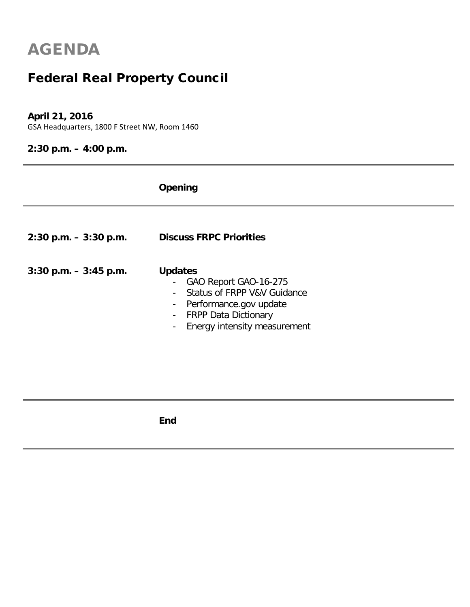### Federal Real Property Council

#### **April 21, 2016**

GSA Headquarters, 1800 F Street NW, Room 1460

### **2:30 p.m. – 4:00 p.m.**

|                          | Opening                                                                                                                                                                                                                 |
|--------------------------|-------------------------------------------------------------------------------------------------------------------------------------------------------------------------------------------------------------------------|
| $2:30$ p.m. $-3:30$ p.m. | <b>Discuss FRPC Priorities</b>                                                                                                                                                                                          |
| $3:30$ p.m. $-3:45$ p.m. | <b>Updates</b><br>- GAO Report GAO-16-275<br>Status of FRPP V&V Guidance<br>Performance.gov update<br>$\blacksquare$<br><b>FRPP Data Dictionary</b><br>$\blacksquare$<br>Energy intensity measurement<br>$\blacksquare$ |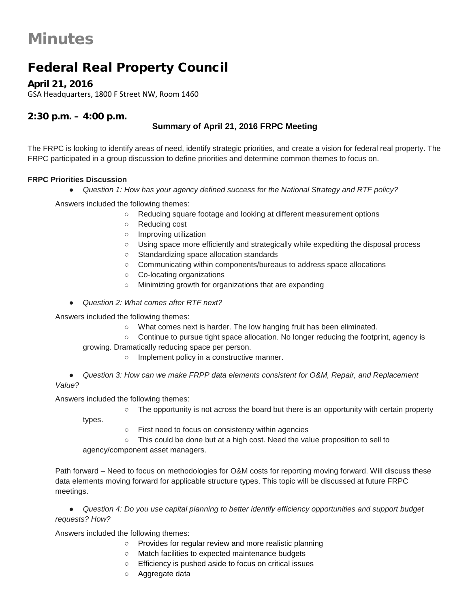### Federal Real Property Council

**April 21, 2016**

GSA Headquarters, 1800 F Street NW, Room 1460

#### **2:30 p.m. – 4:00 p.m.**

#### **Summary of April 21, 2016 FRPC Meeting**

The FRPC is looking to identify areas of need, identify strategic priorities, and create a vision for federal real property. The FRPC participated in a group discussion to define priorities and determine common themes to focus on.

#### **FRPC Priorities Discussion**

● *Question 1: How has your agency defined success for the National Strategy and RTF policy?*

Answers included the following themes:

- Reducing square footage and looking at different measurement options
- Reducing cost
- Improving utilization
- Using space more efficiently and strategically while expediting the disposal process
- Standardizing space allocation standards
- Communicating within components/bureaus to address space allocations
- Co-locating organizations
- Minimizing growth for organizations that are expanding
- *Question 2: What comes after RTF next?*

Answers included the following themes:

- What comes next is harder. The low hanging fruit has been eliminated.
- Continue to pursue tight space allocation. No longer reducing the footprint, agency is
- growing. Dramatically reducing space per person.
	- Implement policy in a constructive manner.

● *Question 3: How can we make FRPP data elements consistent for O&M, Repair, and Replacement Value?* 

Answers included the following themes:

○ The opportunity is not across the board but there is an opportunity with certain property

types.

- First need to focus on consistency within agencies
- This could be done but at a high cost. Need the value proposition to sell to

agency/component asset managers.

Path forward – Need to focus on methodologies for O&M costs for reporting moving forward. Will discuss these data elements moving forward for applicable structure types. This topic will be discussed at future FRPC meetings.

● *Question 4: Do you use capital planning to better identify efficiency opportunities and support budget requests? How?* 

Answers included the following themes:

- Provides for regular review and more realistic planning
- Match facilities to expected maintenance budgets
- Efficiency is pushed aside to focus on critical issues
- Aggregate data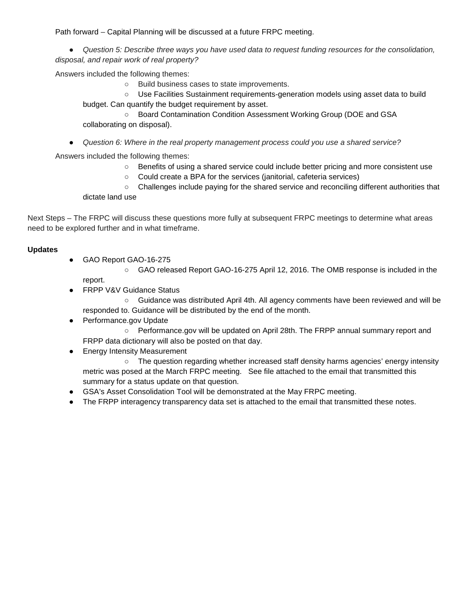Path forward – Capital Planning will be discussed at a future FRPC meeting.

● *Question 5: Describe three ways you have used data to request funding resources for the consolidation, disposal, and repair work of real property?* 

Answers included the following themes:

○ Build business cases to state improvements.

○ Use Facilities Sustainment requirements-generation models using asset data to build budget. Can quantify the budget requirement by asset.

- Board Contamination Condition Assessment Working Group (DOE and GSA collaborating on disposal).
- *Question 6: Where in the real property management process could you use a shared service?*

Answers included the following themes:

- Benefits of using a shared service could include better pricing and more consistent use
- Could create a BPA for the services (janitorial, cafeteria services)

○ Challenges include paying for the shared service and reconciling different authorities that dictate land use

Next Steps – The FRPC will discuss these questions more fully at subsequent FRPC meetings to determine what areas need to be explored further and in what timeframe.

#### **Updates**

- GAO Report GAO-16-275
	- GAO released Report GAO-16-275 April 12, 2016. The OMB response is included in the report.
- FRPP V&V Guidance Status
	- Guidance was distributed April 4th. All agency comments have been reviewed and will be responded to. Guidance will be distributed by the end of the month.
- Performance.gov Update
	- Performance.gov will be updated on April 28th. The FRPP annual summary report and
- FRPP data dictionary will also be posted on that day.
- Energy Intensity Measurement

○ The question regarding whether increased staff density harms agencies' energy intensity metric was posed at the March FRPC meeting. See file attached to the email that transmitted this summary for a status update on that question.

- GSA's Asset Consolidation Tool will be demonstrated at the May FRPC meeting.
- The FRPP interagency transparency data set is attached to the email that transmitted these notes.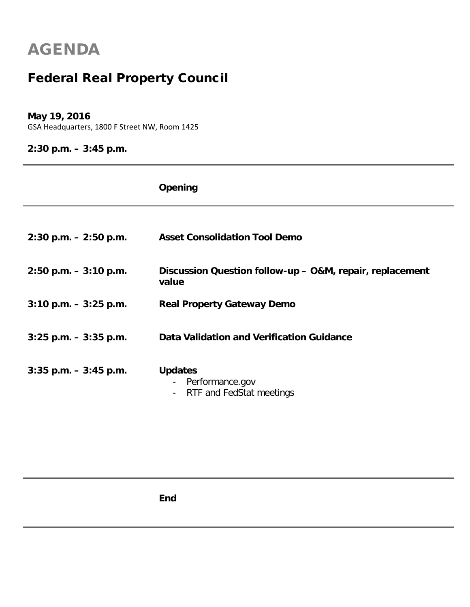## Federal Real Property Council

#### **May 19, 2016**

GSA Headquarters, 1800 F Street NW, Room 1425

#### **2:30 p.m. – 3:45 p.m.**

|                          | Opening                                                                                                     |
|--------------------------|-------------------------------------------------------------------------------------------------------------|
|                          |                                                                                                             |
| $2:30$ p.m. $-2:50$ p.m. | <b>Asset Consolidation Tool Demo</b>                                                                        |
| $2:50$ p.m. $-3:10$ p.m. | Discussion Question follow-up - O&M, repair, replacement<br>value                                           |
| $3:10$ p.m. $-3:25$ p.m. | <b>Real Property Gateway Demo</b>                                                                           |
| $3:25$ p.m. $-3:35$ p.m. | Data Validation and Verification Guidance                                                                   |
| $3:35$ p.m. $-3:45$ p.m. | <b>Updates</b><br>Performance.gov<br>$\blacksquare$<br>RTF and FedStat meetings<br>$\overline{\phantom{a}}$ |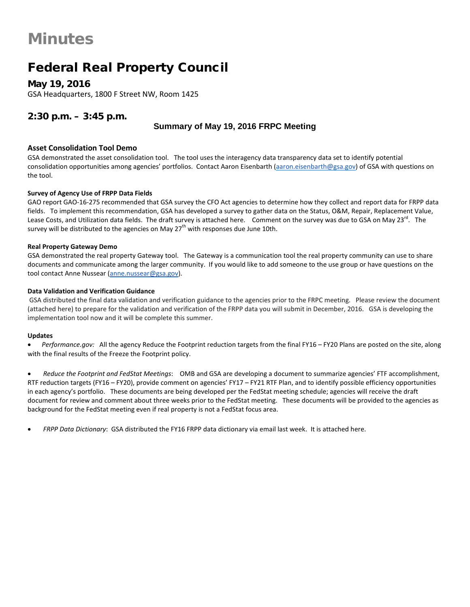### Federal Real Property Council

**May 19, 2016** GSA Headquarters, 1800 F Street NW, Room 1425

#### **2:30 p.m. – 3:45 p.m.**

#### **Summary of May 19, 2016 FRPC Meeting**

#### **Asset Consolidation Tool Demo**

GSA demonstrated the asset consolidation tool. The tool uses the interagency data transparency data set to identify potential consolidation opportunities among agencies' portfolios. Contact Aaron Eisenbarth [\(aaron.eisenbarth@gsa.gov\)](mailto:aaron.eisenbarth@gsa.gov) of GSA with questions on the tool.

#### **Survey of Agency Use of FRPP Data Fields**

GAO report GAO-16-275 recommended that GSA survey the CFO Act agencies to determine how they collect and report data for FRPP data fields. To implement this recommendation, GSA has developed a survey to gather data on the Status, O&M, Repair, Replacement Value, Lease Costs, and Utilization data fields. The draft survey is attached here. Comment on the survey was due to GSA on May 23 $^{\circ\circ}$ . The survey will be distributed to the agencies on May  $27<sup>th</sup>$  with responses due June 10th.

#### **Real Property Gateway Demo**

GSA demonstrated the real property Gateway tool. The Gateway is a communication tool the real property community can use to share documents and communicate among the larger community. If you would like to add someone to the use group or have questions on the tool contact Anne Nussear [\(anne.nussear@gsa.gov\)](mailto:anne.nussear@gsa.gov).

#### **Data Validation and Verification Guidance**

GSA distributed the final data validation and verification guidance to the agencies prior to the FRPC meeting. Please review the document (attached here) to prepare for the validation and verification of the FRPP data you will submit in December, 2016. GSA is developing the implementation tool now and it will be complete this summer.

#### **Updates**

• *Performance.gov:* All the agency Reduce the Footprint reduction targets from the final FY16 – FY20 Plans are posted on the site, along with the final results of the Freeze the Footprint policy.

• *Reduce the Footprint and FedStat Meetings*: OMB and GSA are developing a document to summarize agencies' FTF accomplishment, RTF reduction targets (FY16 – FY20), provide comment on agencies' FY17 – FY21 RTF Plan, and to identify possible efficiency opportunities in each agency's portfolio. These documents are being developed per the FedStat meeting schedule; agencies will receive the draft document for review and comment about three weeks prior to the FedStat meeting. These documents will be provided to the agencies as background for the FedStat meeting even if real property is not a FedStat focus area.

• *FRPP Data Dictionary*: GSA distributed the FY16 FRPP data dictionary via email last week. It is attached here.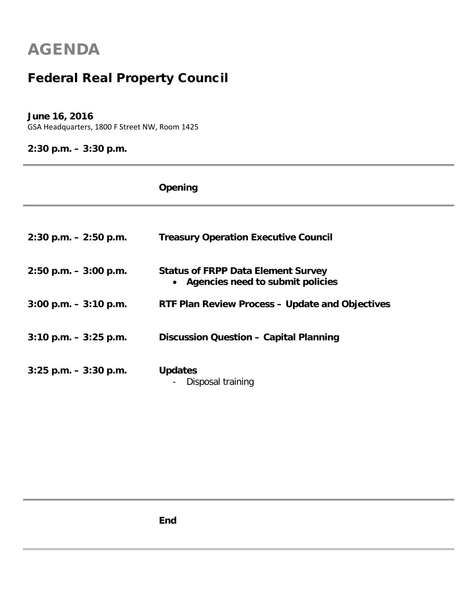## Federal Real Property Council

#### **June 16, 2016**

GSA Headquarters, 1800 F Street NW, Room 1425

### **2:30 p.m. – 3:30 p.m.**

|                          | Opening                                                                         |
|--------------------------|---------------------------------------------------------------------------------|
|                          |                                                                                 |
| $2:30$ p.m. $-2:50$ p.m. | <b>Treasury Operation Executive Council</b>                                     |
| $2:50$ p.m. $-3:00$ p.m. | <b>Status of FRPP Data Element Survey</b><br>• Agencies need to submit policies |
| $3:00$ p.m. $-3:10$ p.m. | <b>RTF Plan Review Process - Update and Objectives</b>                          |
|                          |                                                                                 |
| $3:10$ p.m. $-3:25$ p.m. | Discussion Question - Capital Planning                                          |
| $3:25$ p.m. $-3:30$ p.m. | <b>Updates</b><br>Disposal training                                             |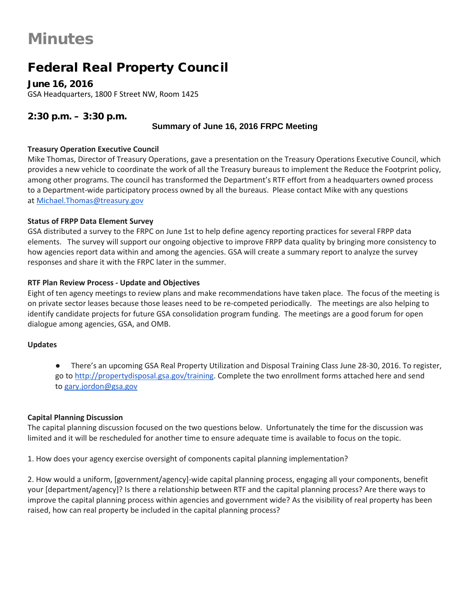### Federal Real Property Council

**June 16, 2016** GSA Headquarters, 1800 F Street NW, Room 1425

#### **2:30 p.m. – 3:30 p.m.**

#### **Summary of June 16, 2016 FRPC Meeting**

#### **Treasury Operation Executive Council**

Mike Thomas, Director of Treasury Operations, gave a presentation on the Treasury Operations Executive Council, which provides a new vehicle to coordinate the work of all the Treasury bureaus to implement the Reduce the Footprint policy, among other programs. The council has transformed the Department's RTF effort from a headquarters owned process to a Department-wide participatory process owned by all the bureaus. Please contact Mike with any questions at [Michael.Thomas@treasury.gov](mailto:Michael.Thomas@treasury.gov)

#### **Status of FRPP Data Element Survey**

GSA distributed a survey to the FRPC on June 1st to help define agency reporting practices for several FRPP data elements. The survey will support our ongoing objective to improve FRPP data quality by bringing more consistency to how agencies report data within and among the agencies. GSA will create a summary report to analyze the survey responses and share it with the FRPC later in the summer.

#### **RTF Plan Review Process - Update and Objectives**

Eight of ten agency meetings to review plans and make recommendations have taken place. The focus of the meeting is on private sector leases because those leases need to be re-competed periodically. The meetings are also helping to identify candidate projects for future GSA consolidation program funding. The meetings are a good forum for open dialogue among agencies, GSA, and OMB.

#### **Updates**

There's an upcoming GSA Real Property Utilization and Disposal Training Class June 28-30, 2016. To register, go to [http://propertydisposal.gsa.gov/training.](http://propertydisposal.gsa.gov/training) Complete the two enrollment forms attached here and send to [gary.jordon@gsa.gov](mailto:gary.jordon@gsa.gov)

#### **Capital Planning Discussion**

The capital planning discussion focused on the two questions below. Unfortunately the time for the discussion was limited and it will be rescheduled for another time to ensure adequate time is available to focus on the topic.

1. How does your agency exercise oversight of components capital planning implementation?

2. How would a uniform, [government/agency]-wide capital planning process, engaging all your components, benefit your [department/agency]? Is there a relationship between RTF and the capital planning process? Are there ways to improve the capital planning process within agencies and government wide? As the visibility of real property has been raised, how can real property be included in the capital planning process?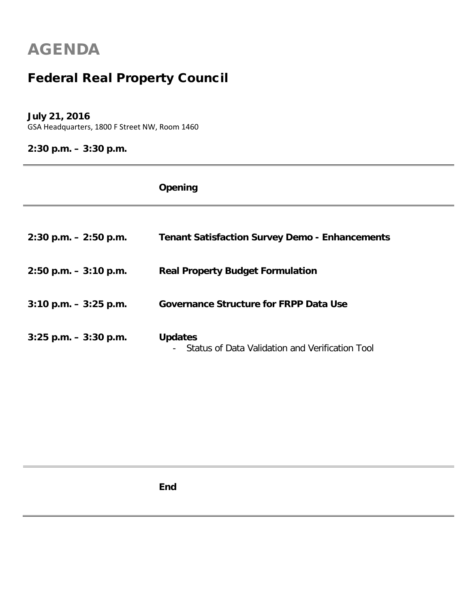## Federal Real Property Council

#### **July 21, 2016**

GSA Headquarters, 1800 F Street NW, Room 1460

### **2:30 p.m. – 3:30 p.m.**

|                          | Opening                                                           |
|--------------------------|-------------------------------------------------------------------|
|                          |                                                                   |
| $2:30$ p.m. $-2:50$ p.m. | <b>Tenant Satisfaction Survey Demo - Enhancements</b>             |
| $2:50$ p.m. $-3:10$ p.m. | <b>Real Property Budget Formulation</b>                           |
| $3:10$ p.m. $-3:25$ p.m. | <b>Governance Structure for FRPP Data Use</b>                     |
| $3:25$ p.m. $-3:30$ p.m. | <b>Updates</b><br>Status of Data Validation and Verification Tool |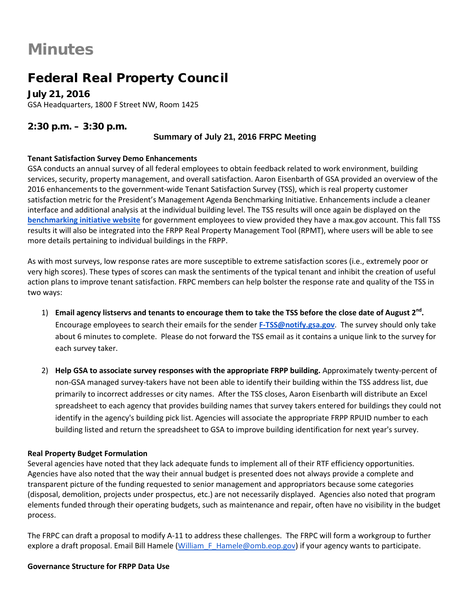### Federal Real Property Council

**July 21, 2016** GSA Headquarters, 1800 F Street NW, Room 1425

#### **2:30 p.m. – 3:30 p.m.**

#### **Summary of July 21, 2016 FRPC Meeting**

#### **Tenant Satisfaction Survey Demo Enhancements**

GSA conducts an annual survey of all federal employees to obtain feedback related to work environment, building services, security, property management, and overall satisfaction. Aaron Eisenbarth of GSA provided an overview of the 2016 enhancements to the government-wide Tenant Satisfaction Survey (TSS), which is real property customer satisfaction metric for the President's Management Agenda Benchmarking Initiative. Enhancements include a cleaner interface and additional analysis at the individual building level. The TSS results will once again be displayed on the **[benchmarking initiative website](https://d2d.gsa.gov/report/benchmarking-initiative)** for government employees to view provided they have a max.gov account. This fall TSS results it will also be integrated into the FRPP Real Property Management Tool (RPMT), where users will be able to see more details pertaining to individual buildings in the FRPP.

As with most surveys, low response rates are more susceptible to extreme satisfaction scores (i.e., extremely poor or very high scores). These types of scores can mask the sentiments of the typical tenant and inhibit the creation of useful action plans to improve tenant satisfaction. FRPC members can help bolster the response rate and quality of the TSS in two ways:

- 1) **Email agency listservs and tenants to encourage them to take the TSS before the close date of August 2nd.** Encourage employees to search their emails for the sender **[F-TSS@notify.gsa.gov](mailto:F-TSS@notify.gsa.gov)**. The survey should only take about 6 minutes to complete. Please do not forward the TSS email as it contains a unique link to the survey for each survey taker.
- 2) **Help GSA to associate survey responses with the appropriate FRPP building.** Approximately twenty-percent of non-GSA managed survey-takers have not been able to identify their building within the TSS address list, due primarily to incorrect addresses or city names. After the TSS closes, Aaron Eisenbarth will distribute an Excel spreadsheet to each agency that provides building names that survey takers entered for buildings they could not identify in the agency's building pick list. Agencies will associate the appropriate FRPP RPUID number to each building listed and return the spreadsheet to GSA to improve building identification for next year's survey.

#### **Real Property Budget Formulation**

Several agencies have noted that they lack adequate funds to implement all of their RTF efficiency opportunities. Agencies have also noted that the way their annual budget is presented does not always provide a complete and transparent picture of the funding requested to senior management and appropriators because some categories (disposal, demolition, projects under prospectus, etc.) are not necessarily displayed. Agencies also noted that program elements funded through their operating budgets, such as maintenance and repair, often have no visibility in the budget process.

The FRPC can draft a proposal to modify A-11 to address these challenges. The FRPC will form a workgroup to further explore a draft proposal. Email Bill Hamele (William F Hamele@omb.eop.gov) if your agency wants to participate.

#### **Governance Structure for FRPP Data Use**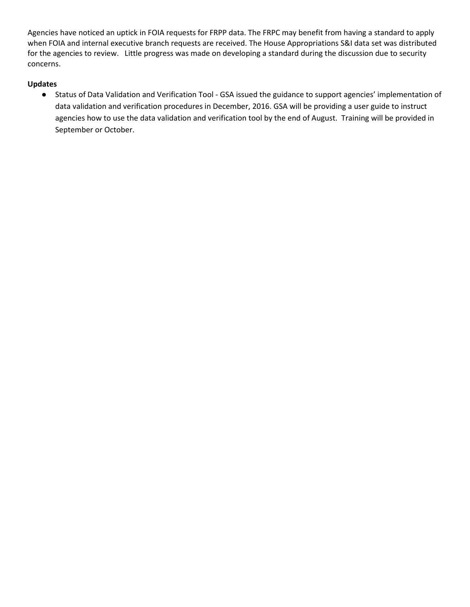Agencies have noticed an uptick in FOIA requests for FRPP data. The FRPC may benefit from having a standard to apply when FOIA and internal executive branch requests are received. The House Appropriations S&I data set was distributed for the agencies to review. Little progress was made on developing a standard during the discussion due to security concerns.

#### **Updates**

● Status of Data Validation and Verification Tool - GSA issued the guidance to support agencies' implementation of data validation and verification procedures in December, 2016. GSA will be providing a user guide to instruct agencies how to use the data validation and verification tool by the end of August. Training will be provided in September or October.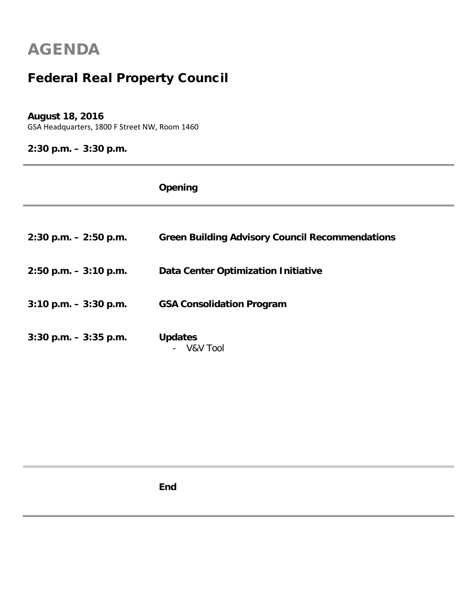## Federal Real Property Council

#### **August 18, 2016**

GSA Headquarters, 1800 F Street NW, Room 1460

### **2:30 p.m. – 3:30 p.m.**

|                          | Opening                                                |
|--------------------------|--------------------------------------------------------|
|                          |                                                        |
| $2:30$ p.m. $-2:50$ p.m. | <b>Green Building Advisory Council Recommendations</b> |
| $2:50$ p.m. $-3:10$ p.m. | <b>Data Center Optimization Initiative</b>             |
| $3:10$ p.m. $-3:30$ p.m. | <b>GSA Consolidation Program</b>                       |
| $3:30$ p.m. $-3:35$ p.m. | <b>Updates</b><br>V&V Tool                             |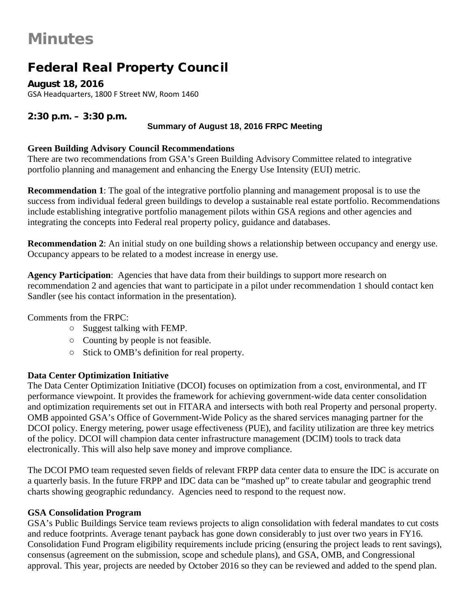### Federal Real Property Council

**August 18, 2016** GSA Headquarters, 1800 F Street NW, Room 1460

#### **2:30 p.m. – 3:30 p.m.**

#### **Summary of August 18, 2016 FRPC Meeting**

#### **Green Building Advisory Council Recommendations**

There are two recommendations from GSA's Green Building Advisory Committee related to integrative portfolio planning and management and enhancing the Energy Use Intensity (EUI) metric.

**Recommendation 1**: The goal of the integrative portfolio planning and management proposal is to use the success from individual federal green buildings to develop a sustainable real estate portfolio. Recommendations include establishing integrative portfolio management pilots within GSA regions and other agencies and integrating the concepts into Federal real property policy, guidance and databases.

**Recommendation 2**: An initial study on one building shows a relationship between occupancy and energy use. Occupancy appears to be related to a modest increase in energy use.

**Agency Participation**: Agencies that have data from their buildings to support more research on recommendation 2 and agencies that want to participate in a pilot under recommendation 1 should contact ken Sandler (see his contact information in the presentation).

Comments from the FRPC:

- Suggest talking with FEMP.
- Counting by people is not feasible.
- Stick to OMB's definition for real property.

#### **Data Center Optimization Initiative**

The Data Center Optimization Initiative (DCOI) focuses on optimization from a cost, environmental, and IT performance viewpoint. It provides the framework for achieving government-wide data center consolidation and optimization requirements set out in FITARA and intersects with both real Property and personal property. OMB appointed GSA's Office of Government-Wide Policy as the shared services managing partner for the DCOI policy. Energy metering, power usage effectiveness (PUE), and facility utilization are three key metrics of the policy. DCOI will champion data center infrastructure management (DCIM) tools to track data electronically. This will also help save money and improve compliance.

The DCOI PMO team requested seven fields of relevant FRPP data center data to ensure the IDC is accurate on a quarterly basis. In the future FRPP and IDC data can be "mashed up" to create tabular and geographic trend charts showing geographic redundancy. Agencies need to respond to the request now.

#### **GSA Consolidation Program**

GSA's Public Buildings Service team reviews projects to align consolidation with federal mandates to cut costs and reduce footprints. Average tenant payback has gone down considerably to just over two years in FY16. Consolidation Fund Program eligibility requirements include pricing (ensuring the project leads to rent savings), consensus (agreement on the submission, scope and schedule plans), and GSA, OMB, and Congressional approval. This year, projects are needed by October 2016 so they can be reviewed and added to the spend plan.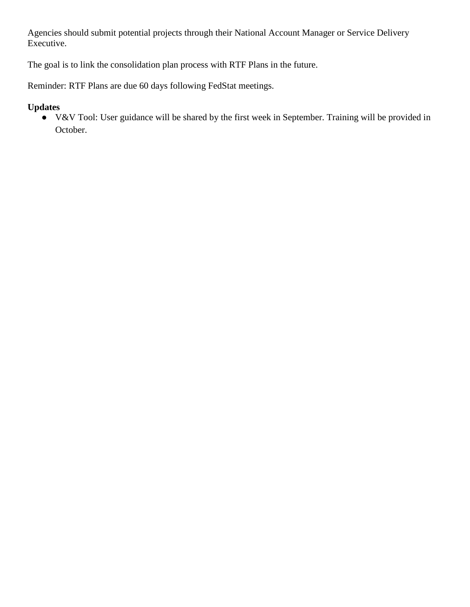Agencies should submit potential projects through their National Account Manager or Service Delivery Executive.

The goal is to link the consolidation plan process with RTF Plans in the future.

Reminder: RTF Plans are due 60 days following FedStat meetings.

#### **Updates**

● V&V Tool: User guidance will be shared by the first week in September. Training will be provided in October.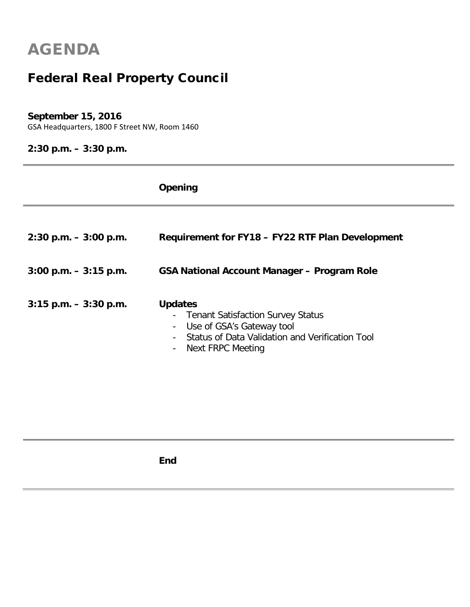### Federal Real Property Council

#### **September 15, 2016**

GSA Headquarters, 1800 F Street NW, Room 1460

### **2:30 p.m. – 3:30 p.m.**

|                          | Opening                                                                                                                                                                                                  |
|--------------------------|----------------------------------------------------------------------------------------------------------------------------------------------------------------------------------------------------------|
| $2:30$ p.m. $-3:00$ p.m. | Requirement for FY18 - FY22 RTF Plan Development                                                                                                                                                         |
| $3:00$ p.m. $-3:15$ p.m. | GSA National Account Manager - Program Role                                                                                                                                                              |
| $3:15$ p.m. $-3:30$ p.m. | <b>Updates</b><br>- Tenant Satisfaction Survey Status<br>Use of GSA's Gateway tool<br>$\blacksquare$<br>Status of Data Validation and Verification Tool<br>Next FRPC Meeting<br>$\overline{\phantom{a}}$ |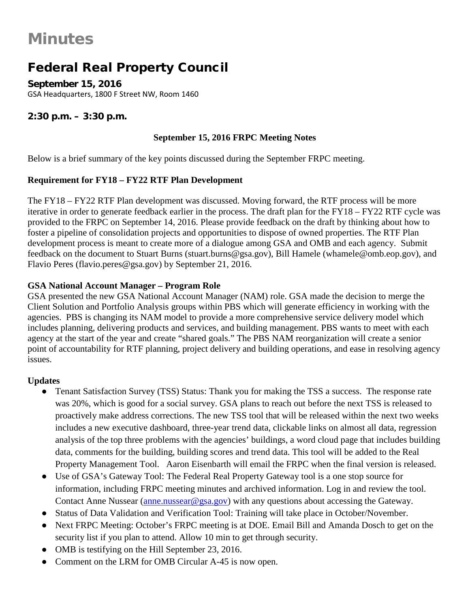### Federal Real Property Council

**September 15, 2016** GSA Headquarters, 1800 F Street NW, Room 1460

#### **2:30 p.m. – 3:30 p.m.**

#### **September 15, 2016 FRPC Meeting Notes**

Below is a brief summary of the key points discussed during the September FRPC meeting.

#### **Requirement for FY18 – FY22 RTF Plan Development**

The FY18 – FY22 RTF Plan development was discussed. Moving forward, the RTF process will be more iterative in order to generate feedback earlier in the process. The draft plan for the FY18 – FY22 RTF cycle was provided to the FRPC on September 14, 2016. Please provide feedback on the draft by thinking about how to foster a pipeline of consolidation projects and opportunities to dispose of owned properties. The RTF Plan development process is meant to create more of a dialogue among GSA and OMB and each agency. Submit feedback on the document to Stuart Burns (stuart.burns@gsa.gov), Bill Hamele (whamele@omb.eop.gov), and Flavio Peres (flavio.peres@gsa.gov) by September 21, 2016.

#### **GSA National Account Manager – Program Role**

GSA presented the new GSA National Account Manager (NAM) role. GSA made the decision to merge the Client Solution and Portfolio Analysis groups within PBS which will generate efficiency in working with the agencies. PBS is changing its NAM model to provide a more comprehensive service delivery model which includes planning, delivering products and services, and building management. PBS wants to meet with each agency at the start of the year and create "shared goals." The PBS NAM reorganization will create a senior point of accountability for RTF planning, project delivery and building operations, and ease in resolving agency issues.

#### **Updates**

- Tenant Satisfaction Survey (TSS) Status: Thank you for making the TSS a success. The response rate was 20%, which is good for a social survey. GSA plans to reach out before the next TSS is released to proactively make address corrections. The new TSS tool that will be released within the next two weeks includes a new executive dashboard, three-year trend data, clickable links on almost all data, regression analysis of the top three problems with the agencies' buildings, a word cloud page that includes building data, comments for the building, building scores and trend data. This tool will be added to the Real Property Management Tool. Aaron Eisenbarth will email the FRPC when the final version is released.
- Use of GSA's Gateway Tool: The Federal Real Property Gateway tool is a one stop source for information, including FRPC meeting minutes and archived information. Log in and review the tool. Contact Anne Nussear (anne.nussear @gsa.gov) with any questions about accessing the Gateway.
- Status of Data Validation and Verification Tool: Training will take place in October/November.
- Next FRPC Meeting: October's FRPC meeting is at DOE. Email Bill and Amanda Dosch to get on the security list if you plan to attend. Allow 10 min to get through security.
- OMB is testifying on the Hill September 23, 2016.
- Comment on the LRM for OMB Circular A-45 is now open.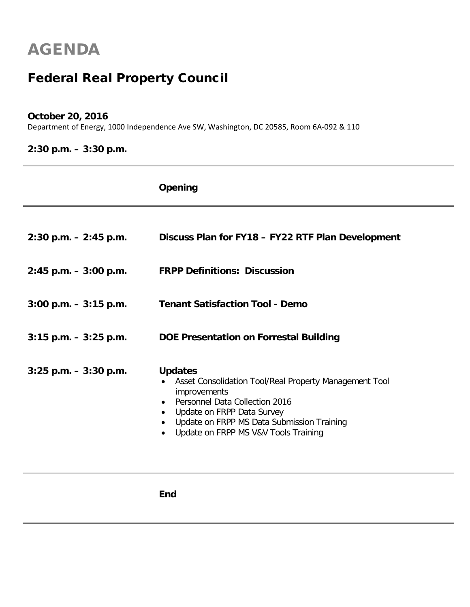### Federal Real Property Council

#### **October 20, 2016**

Department of Energy, 1000 Independence Ave SW, Washington, DC 20585, Room 6A-092 & 110

### **2:30 p.m. – 3:30 p.m.**

|                          | Opening                                                                                                                                                                                                                                               |
|--------------------------|-------------------------------------------------------------------------------------------------------------------------------------------------------------------------------------------------------------------------------------------------------|
|                          |                                                                                                                                                                                                                                                       |
| $2:30$ p.m. $-2:45$ p.m. | Discuss Plan for FY18 - FY22 RTF Plan Development                                                                                                                                                                                                     |
| $2:45$ p.m. $-3:00$ p.m. | <b>FRPP Definitions: Discussion</b>                                                                                                                                                                                                                   |
| $3:00$ p.m. $-3:15$ p.m. | <b>Tenant Satisfaction Tool - Demo</b>                                                                                                                                                                                                                |
| $3:15$ p.m. $-3:25$ p.m. | DOE Presentation on Forrestal Building                                                                                                                                                                                                                |
| $3:25$ p.m. $-3:30$ p.m. | <b>Updates</b><br>Asset Consolidation Tool/Real Property Management Tool<br>improvements<br><b>Personnel Data Collection 2016</b><br>Update on FRPP Data Survey<br>Update on FRPP MS Data Submission Training<br>Update on FRPP MS V&V Tools Training |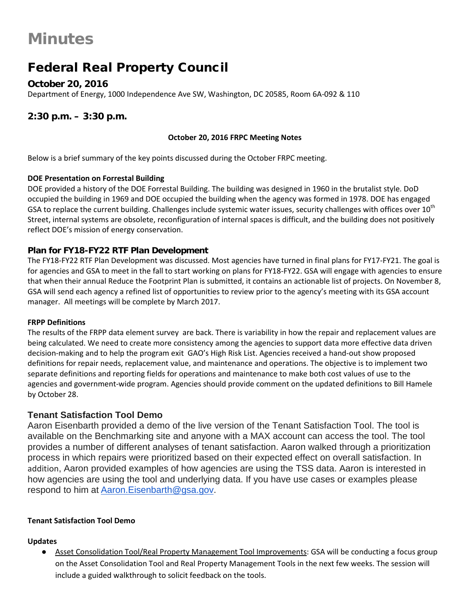### Federal Real Property Council

#### **October 20, 2016**

Department of Energy, 1000 Independence Ave SW, Washington, DC 20585, Room 6A-092 & 110

#### **2:30 p.m. – 3:30 p.m.**

#### **October 20, 2016 FRPC Meeting Notes**

Below is a brief summary of the key points discussed during the October FRPC meeting.

#### **DOE Presentation on Forrestal Building**

DOE provided a history of the DOE Forrestal Building. The building was designed in 1960 in the brutalist style. DoD occupied the building in 1969 and DOE occupied the building when the agency was formed in 1978. DOE has engaged GSA to replace the current building. Challenges include systemic water issues, security challenges with offices over  $10^{th}$ Street, internal systems are obsolete, reconfiguration of internal spaces is difficult, and the building does not positively reflect DOE's mission of energy conservation.

#### **Plan for FY18-FY22 RTF Plan Development**

The FY18-FY22 RTF Plan Development was discussed. Most agencies have turned in final plans for FY17-FY21. The goal is for agencies and GSA to meet in the fall to start working on plans for FY18-FY22. GSA will engage with agencies to ensure that when their annual Reduce the Footprint Plan is submitted, it contains an actionable list of projects. On November 8, GSA will send each agency a refined list of opportunities to review prior to the agency's meeting with its GSA account manager. All meetings will be complete by March 2017.

#### **FRPP Definitions**

The results of the FRPP data element survey are back. There is variability in how the repair and replacement values are being calculated. We need to create more consistency among the agencies to support data more effective data driven decision-making and to help the program exit GAO's High Risk List. Agencies received a hand-out show proposed definitions for repair needs, replacement value, and maintenance and operations. The objective is to implement two separate definitions and reporting fields for operations and maintenance to make both cost values of use to the agencies and government-wide program. Agencies should provide comment on the updated definitions to Bill Hamele by October 28.

#### **Tenant Satisfaction Tool Demo**

Aaron Eisenbarth provided a demo of the live version of the Tenant Satisfaction Tool. The tool is available on the Benchmarking site and anyone with a MAX account can access the tool. The tool provides a number of different analyses of tenant satisfaction. Aaron walked through a prioritization process in which repairs were prioritized based on their expected effect on overall satisfaction. In addition, Aaron provided examples of how agencies are using the TSS data. Aaron is interested in how agencies are using the tool and underlying data. If you have use cases or examples please respond to him at [Aaron.Eisenbarth@gsa.gov.](mailto:Aaron.Eisenbarth@gsa.gov)

#### **Tenant Satisfaction Tool Demo**

#### **Updates**

Asset Consolidation Tool/Real Property Management Tool Improvements: GSA will be conducting a focus group on the Asset Consolidation Tool and Real Property Management Tools in the next few weeks. The session will include a guided walkthrough to solicit feedback on the tools.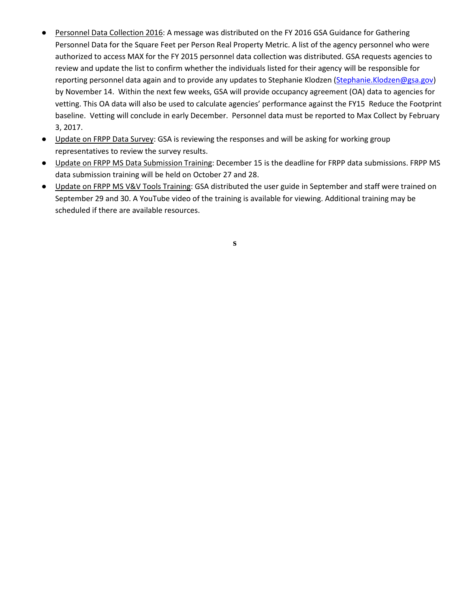- Personnel Data Collection 2016: A message was distributed on the FY 2016 GSA Guidance for Gathering Personnel Data for the Square Feet per Person Real Property Metric. A list of the agency personnel who were authorized to access MAX for the FY 2015 personnel data collection was distributed. GSA requests agencies to review and update the list to confirm whether the individuals listed for their agency will be responsible for reporting personnel data again and to provide any updates to Stephanie Klodzen [\(Stephanie.Klodzen@gsa.gov\)](mailto:Stephanie.Klodzen@gsa.gov) by November 14. Within the next few weeks, GSA will provide occupancy agreement (OA) data to agencies for vetting. This OA data will also be used to calculate agencies' performance against the FY15 Reduce the Footprint baseline. Vetting will conclude in early December. Personnel data must be reported to Max Collect by February 3, 2017.
- Update on FRPP Data Survey: GSA is reviewing the responses and will be asking for working group representatives to review the survey results.
- Update on FRPP MS Data Submission Training: December 15 is the deadline for FRPP data submissions. FRPP MS data submission training will be held on October 27 and 28.
- Update on FRPP MS V&V Tools Training: GSA distributed the user guide in September and staff were trained on September 29 and 30. A YouTube video of the training is available for viewing. Additional training may be scheduled if there are available resources.

**s**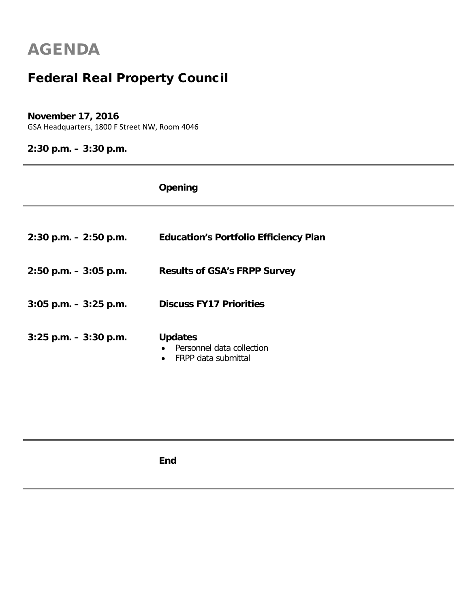### Federal Real Property Council

#### **November 17, 2016**

GSA Headquarters, 1800 F Street NW, Room 4046

### **2:30 p.m. – 3:30 p.m.**

|                          | <b>Opening</b>                                                                               |
|--------------------------|----------------------------------------------------------------------------------------------|
|                          |                                                                                              |
| $2:30$ p.m. $-2:50$ p.m. | <b>Education's Portfolio Efficiency Plan</b>                                                 |
| $2:50$ p.m. $-3:05$ p.m. | <b>Results of GSA's FRPP Survey</b>                                                          |
| $3:05$ p.m. $-3:25$ p.m. | <b>Discuss FY17 Priorities</b>                                                               |
| $3:25$ p.m. $-3:30$ p.m. | <b>Updates</b><br>Personnel data collection<br>$\bullet$<br>FRPP data submittal<br>$\bullet$ |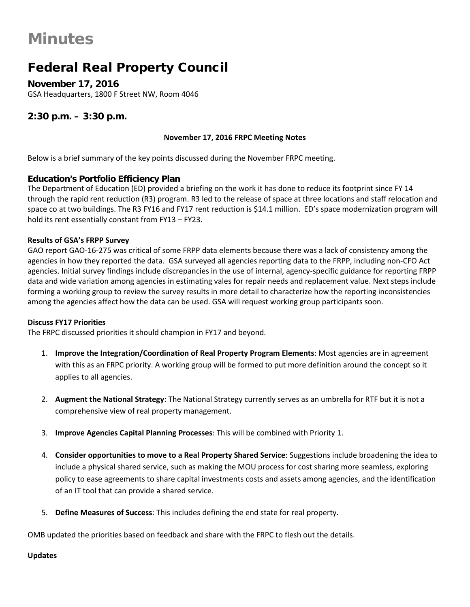### Federal Real Property Council

**November 17, 2016** GSA Headquarters, 1800 F Street NW, Room 4046

#### **2:30 p.m. – 3:30 p.m.**

#### **November 17, 2016 FRPC Meeting Notes**

Below is a brief summary of the key points discussed during the November FRPC meeting.

#### **Education's Portfolio Efficiency Plan**

The Department of Education (ED) provided a briefing on the work it has done to reduce its footprint since FY 14 through the rapid rent reduction (R3) program. R3 led to the release of space at three locations and staff relocation and space co at two buildings. The R3 FY16 and FY17 rent reduction is \$14.1 million. ED's space modernization program will hold its rent essentially constant from FY13 – FY23.

#### **Results of GSA's FRPP Survey**

GAO report GAO-16-275 was critical of some FRPP data elements because there was a lack of consistency among the agencies in how they reported the data. GSA surveyed all agencies reporting data to the FRPP, including non-CFO Act agencies. Initial survey findings include discrepancies in the use of internal, agency-specific guidance for reporting FRPP data and wide variation among agencies in estimating vales for repair needs and replacement value. Next steps include forming a working group to review the survey results in more detail to characterize how the reporting inconsistencies among the agencies affect how the data can be used. GSA will request working group participants soon.

#### **Discuss FY17 Priorities**

The FRPC discussed priorities it should champion in FY17 and beyond.

- 1. **Improve the Integration/Coordination of Real Property Program Elements**: Most agencies are in agreement with this as an FRPC priority. A working group will be formed to put more definition around the concept so it applies to all agencies.
- 2. **Augment the National Strategy**: The National Strategy currently serves as an umbrella for RTF but it is not a comprehensive view of real property management.
- 3. **Improve Agencies Capital Planning Processes**: This will be combined with Priority 1.
- 4. **Consider opportunities to move to a Real Property Shared Service**: Suggestions include broadening the idea to include a physical shared service, such as making the MOU process for cost sharing more seamless, exploring policy to ease agreements to share capital investments costs and assets among agencies, and the identification of an IT tool that can provide a shared service.
- 5. **Define Measures of Success**: This includes defining the end state for real property.

OMB updated the priorities based on feedback and share with the FRPC to flesh out the details.

#### **Updates**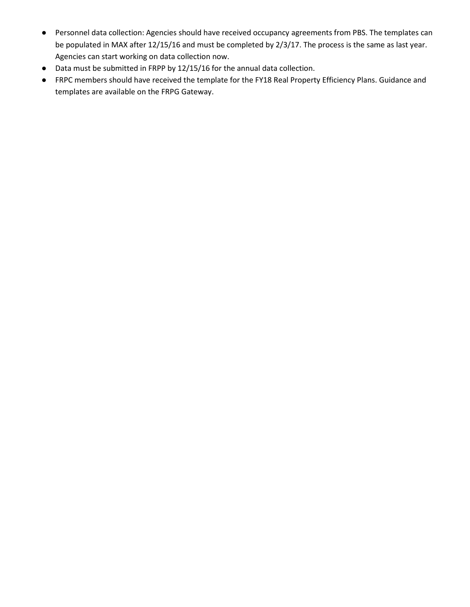- Personnel data collection: Agencies should have received occupancy agreements from PBS. The templates can be populated in MAX after 12/15/16 and must be completed by 2/3/17. The process is the same as last year. Agencies can start working on data collection now.
- Data must be submitted in FRPP by 12/15/16 for the annual data collection.
- FRPC members should have received the template for the FY18 Real Property Efficiency Plans. Guidance and templates are available on the FRPG Gateway.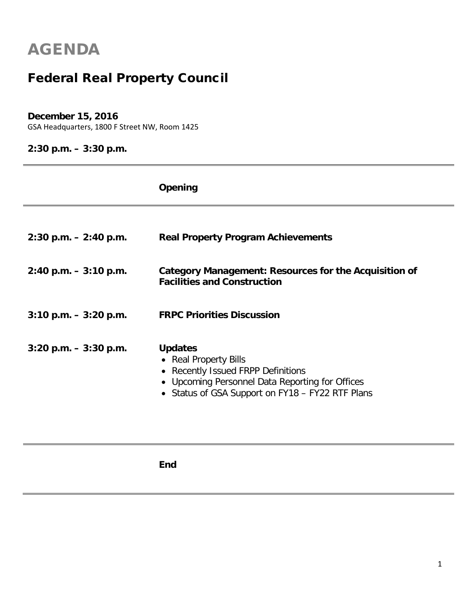### Federal Real Property Council

#### **December 15, 2016**

GSA Headquarters, 1800 F Street NW, Room 1425

#### **2:30 p.m. – 3:30 p.m.**

|                           | Opening                                                                                                                                                                                                |
|---------------------------|--------------------------------------------------------------------------------------------------------------------------------------------------------------------------------------------------------|
| $2:30$ p.m. $- 2:40$ p.m. | <b>Real Property Program Achievements</b>                                                                                                                                                              |
| $2:40$ p.m. $-3:10$ p.m.  | Category Management: Resources for the Acquisition of<br><b>Facilities and Construction</b>                                                                                                            |
| $3:10$ p.m. $-3:20$ p.m.  | <b>FRPC Priorities Discussion</b>                                                                                                                                                                      |
| $3:20$ p.m. $-3:30$ p.m.  | <b>Updates</b><br>• Real Property Bills<br><b>Recently Issued FRPP Definitions</b><br>$\bullet$<br>• Upcoming Personnel Data Reporting for Offices<br>• Status of GSA Support on FY18 - FY22 RTF Plans |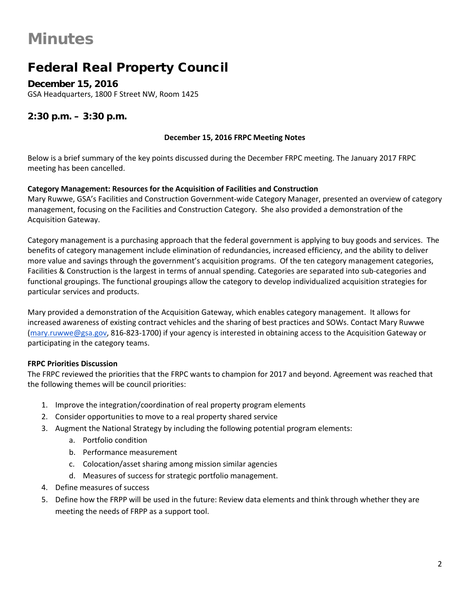### Federal Real Property Council

**December 15, 2016** GSA Headquarters, 1800 F Street NW, Room 1425

#### **2:30 p.m. – 3:30 p.m.**

#### **December 15, 2016 FRPC Meeting Notes**

Below is a brief summary of the key points discussed during the December FRPC meeting. The January 2017 FRPC meeting has been cancelled.

#### **Category Management: Resources for the Acquisition of Facilities and Construction**

Mary Ruwwe, GSA's Facilities and Construction Government-wide Category Manager, presented an overview of category management, focusing on the Facilities and Construction Category. She also provided a demonstration of the Acquisition Gateway.

Category management is a purchasing approach that the federal government is applying to buy goods and services. The benefits of category management include elimination of redundancies, increased efficiency, and the ability to deliver more value and savings through the government's acquisition programs. Of the ten category management categories, Facilities & Construction is the largest in terms of annual spending. Categories are separated into sub-categories and functional groupings. The functional groupings allow the category to develop individualized acquisition strategies for particular services and products.

Mary provided a demonstration of the Acquisition Gateway, which enables category management. It allows for increased awareness of existing contract vehicles and the sharing of best practices and SOWs. Contact Mary Ruwwe [\(mary.ruwwe@gsa.gov,](mailto:mary.ruwwe@gsa.gov) 816-823-1700) if your agency is interested in obtaining access to the Acquisition Gateway or participating in the category teams.

#### **FRPC Priorities Discussion**

The FRPC reviewed the priorities that the FRPC wants to champion for 2017 and beyond. Agreement was reached that the following themes will be council priorities:

- 1. Improve the integration/coordination of real property program elements
- 2. Consider opportunities to move to a real property shared service
- 3. Augment the National Strategy by including the following potential program elements:
	- a. Portfolio condition
	- b. Performance measurement
	- c. Colocation/asset sharing among mission similar agencies
	- d. Measures of success for strategic portfolio management.
- 4. Define measures of success
- 5. Define how the FRPP will be used in the future: Review data elements and think through whether they are meeting the needs of FRPP as a support tool.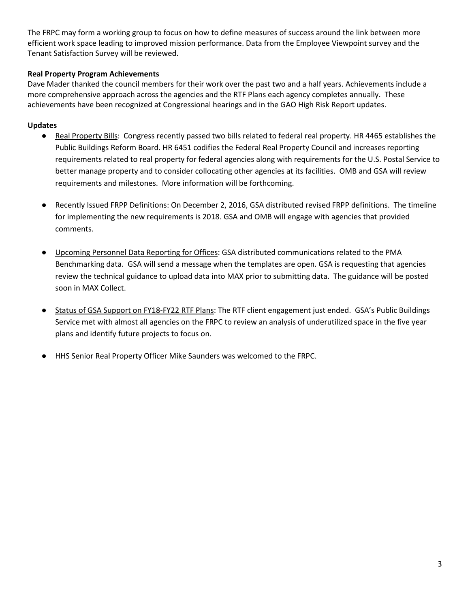The FRPC may form a working group to focus on how to define measures of success around the link between more efficient work space leading to improved mission performance. Data from the Employee Viewpoint survey and the Tenant Satisfaction Survey will be reviewed.

#### **Real Property Program Achievements**

Dave Mader thanked the council members for their work over the past two and a half years. Achievements include a more comprehensive approach across the agencies and the RTF Plans each agency completes annually. These achievements have been recognized at Congressional hearings and in the GAO High Risk Report updates.

#### **Updates**

- Real Property Bills: Congress recently passed two bills related to federal real property. HR 4465 establishes the Public Buildings Reform Board. HR 6451 codifies the Federal Real Property Council and increases reporting requirements related to real property for federal agencies along with requirements for the U.S. Postal Service to better manage property and to consider collocating other agencies at its facilities. OMB and GSA will review requirements and milestones. More information will be forthcoming.
- Recently Issued FRPP Definitions: On December 2, 2016, GSA distributed revised FRPP definitions. The timeline for implementing the new requirements is 2018. GSA and OMB will engage with agencies that provided comments.
- Upcoming Personnel Data Reporting for Offices: GSA distributed communications related to the PMA Benchmarking data. GSA will send a message when the templates are open. GSA is requesting that agencies review the technical guidance to upload data into MAX prior to submitting data. The guidance will be posted soon in MAX Collect.
- Status of GSA Support on FY18-FY22 RTF Plans: The RTF client engagement just ended. GSA's Public Buildings Service met with almost all agencies on the FRPC to review an analysis of underutilized space in the five year plans and identify future projects to focus on.
- HHS Senior Real Property Officer Mike Saunders was welcomed to the FRPC.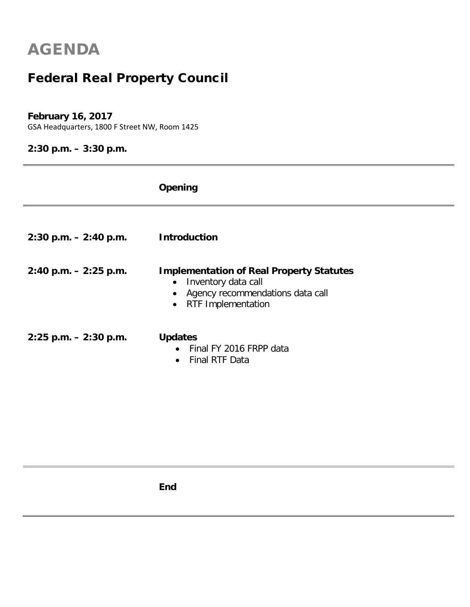## Federal Real Property Council

#### **February 16, 2017**

GSA Headquarters, 1800 F Street NW, Room 1425

#### **2:30 p.m. – 3:30 p.m.**

|                           | Opening                                                                                                                                                                        |
|---------------------------|--------------------------------------------------------------------------------------------------------------------------------------------------------------------------------|
| $2:30$ p.m. $- 2:40$ p.m. | <b>Introduction</b>                                                                                                                                                            |
| $2:40$ p.m. $-2:25$ p.m.  | <b>Implementation of Real Property Statutes</b><br>Inventory data call<br>$\bullet$<br>Agency recommendations data call<br>$\bullet$<br><b>RTF Implementation</b><br>$\bullet$ |
| $2:25$ p.m. $-2:30$ p.m.  | <b>Updates</b><br>Final FY 2016 FRPP data<br>$\bullet$<br><b>Final RTF Data</b><br>$\bullet$                                                                                   |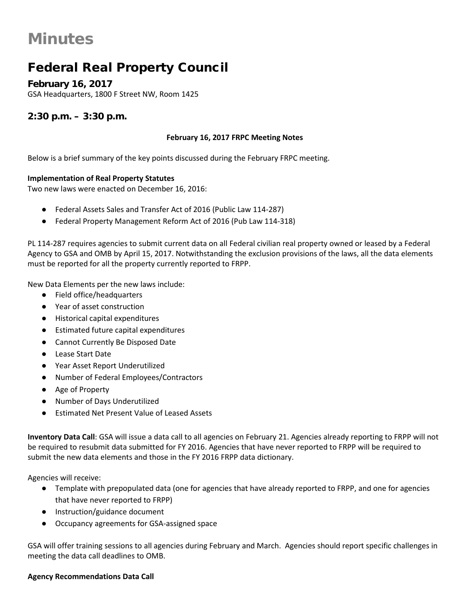### Federal Real Property Council

**February 16, 2017** GSA Headquarters, 1800 F Street NW, Room 1425

**2:30 p.m. – 3:30 p.m.**

#### **February 16, 2017 FRPC Meeting Notes**

Below is a brief summary of the key points discussed during the February FRPC meeting.

#### **Implementation of Real Property Statutes**

Two new laws were enacted on December 16, 2016:

- Federal Assets Sales and Transfer Act of 2016 (Public Law 114-287)
- Federal Property Management Reform Act of 2016 (Pub Law 114-318)

PL 114-287 requires agencies to submit current data on all Federal civilian real property owned or leased by a Federal Agency to GSA and OMB by April 15, 2017. Notwithstanding the exclusion provisions of the laws, all the data elements must be reported for all the property currently reported to FRPP.

New Data Elements per the new laws include:

- Field office/headquarters
- Year of asset construction
- Historical capital expenditures
- Estimated future capital expenditures
- Cannot Currently Be Disposed Date
- **Lease Start Date**
- Year Asset Report Underutilized
- Number of Federal Employees/Contractors
- Age of Property
- Number of Days Underutilized
- **Estimated Net Present Value of Leased Assets**

**Inventory Data Call**: GSA will issue a data call to all agencies on February 21. Agencies already reporting to FRPP will not be required to resubmit data submitted for FY 2016. Agencies that have never reported to FRPP will be required to submit the new data elements and those in the FY 2016 FRPP data dictionary.

Agencies will receive:

- Template with prepopulated data (one for agencies that have already reported to FRPP, and one for agencies that have never reported to FRPP)
- Instruction/guidance document
- Occupancy agreements for GSA-assigned space

GSA will offer training sessions to all agencies during February and March. Agencies should report specific challenges in meeting the data call deadlines to OMB.

#### **Agency Recommendations Data Call**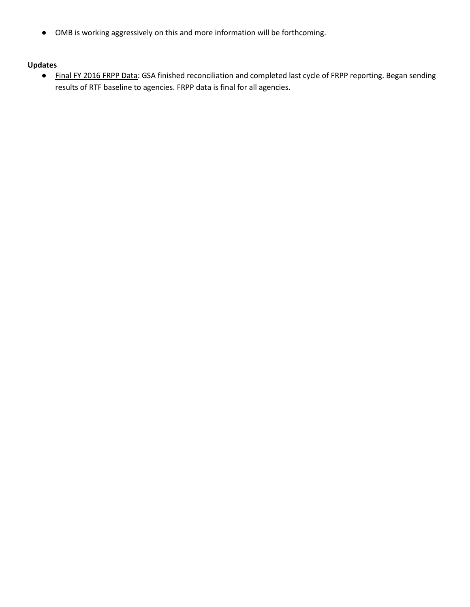● OMB is working aggressively on this and more information will be forthcoming.

#### **Updates**

● Final FY 2016 FRPP Data: GSA finished reconciliation and completed last cycle of FRPP reporting. Began sending results of RTF baseline to agencies. FRPP data is final for all agencies.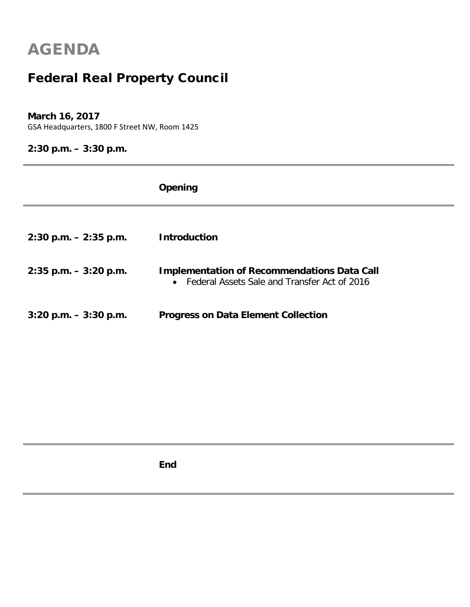## Federal Real Property Council

#### **March 16, 2017**

GSA Headquarters, 1800 F Street NW, Room 1425

### **2:30 p.m. – 3:30 p.m.**

|                          | Opening                                                                                              |
|--------------------------|------------------------------------------------------------------------------------------------------|
|                          |                                                                                                      |
| $2:30$ p.m. $-2:35$ p.m. | <b>Introduction</b>                                                                                  |
| $2:35$ p.m. $-3:20$ p.m. | <b>Implementation of Recommendations Data Call</b><br>• Federal Assets Sale and Transfer Act of 2016 |
| $3:20$ p.m. $-3:30$ p.m. | <b>Progress on Data Element Collection</b>                                                           |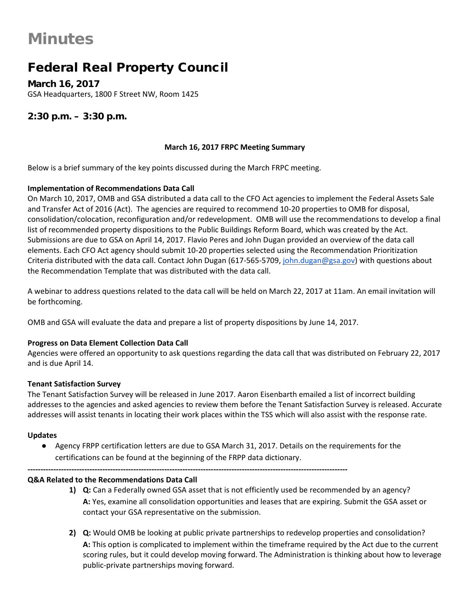### Federal Real Property Council

**March 16, 2017** GSA Headquarters, 1800 F Street NW, Room 1425

#### **2:30 p.m. – 3:30 p.m.**

#### **March 16, 2017 FRPC Meeting Summary**

Below is a brief summary of the key points discussed during the March FRPC meeting.

#### **Implementation of Recommendations Data Call**

On March 10, 2017, OMB and GSA distributed a data call to the CFO Act agencies to implement the Federal Assets Sale and Transfer Act of 2016 (Act). The agencies are required to recommend 10-20 properties to OMB for disposal, consolidation/colocation, reconfiguration and/or redevelopment. OMB will use the recommendations to develop a final list of recommended property dispositions to the Public Buildings Reform Board, which was created by the Act. Submissions are due to GSA on April 14, 2017. Flavio Peres and John Dugan provided an overview of the data call elements. Each CFO Act agency should submit 10-20 properties selected using the Recommendation Prioritization Criteria distributed with the data call. Contact John Dugan (617-565-5709[, john.dugan@gsa.gov\)](mailto:john.dugan@gsa.gov) with questions about the Recommendation Template that was distributed with the data call.

A webinar to address questions related to the data call will be held on March 22, 2017 at 11am. An email invitation will be forthcoming.

OMB and GSA will evaluate the data and prepare a list of property dispositions by June 14, 2017.

#### **Progress on Data Element Collection Data Call**

Agencies were offered an opportunity to ask questions regarding the data call that was distributed on February 22, 2017 and is due April 14.

#### **Tenant Satisfaction Survey**

The Tenant Satisfaction Survey will be released in June 2017. Aaron Eisenbarth emailed a list of incorrect building addresses to the agencies and asked agencies to review them before the Tenant Satisfaction Survey is released. Accurate addresses will assist tenants in locating their work places within the TSS which will also assist with the response rate.

#### **Updates**

● Agency FRPP certification letters are due to GSA March 31, 2017. Details on the requirements for the certifications can be found at the beginning of the FRPP data dictionary.

#### **Q&A Related to the Recommendations Data Call**

- **1) Q:** Can a Federally owned GSA asset that is not efficiently used be recommended by an agency? **A:** Yes, examine all consolidation opportunities and leases that are expiring. Submit the GSA asset or contact your GSA representative on the submission.
- **2) Q:** Would OMB be looking at public private partnerships to redevelop properties and consolidation? **A:** This option is complicated to implement within the timeframe required by the Act due to the current scoring rules, but it could develop moving forward. The Administration is thinking about how to leverage public-private partnerships moving forward.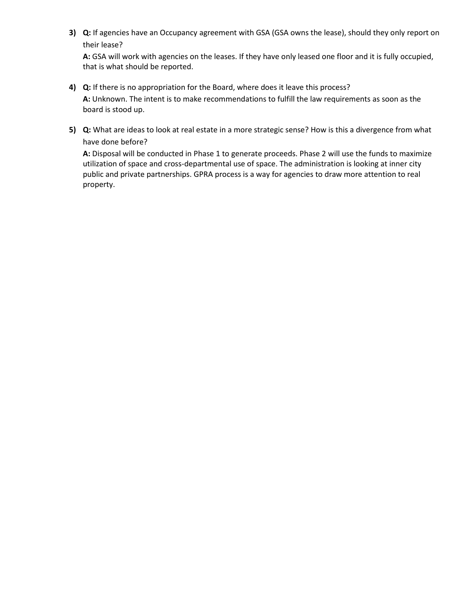**3) Q:** If agencies have an Occupancy agreement with GSA (GSA owns the lease), should they only report on their lease?

**A:** GSA will work with agencies on the leases. If they have only leased one floor and it is fully occupied, that is what should be reported.

- **4) Q:** If there is no appropriation for the Board, where does it leave this process? **A:** Unknown. The intent is to make recommendations to fulfill the law requirements as soon as the board is stood up.
- **5) Q:** What are ideas to look at real estate in a more strategic sense? How is this a divergence from what have done before?

**A:** Disposal will be conducted in Phase 1 to generate proceeds. Phase 2 will use the funds to maximize utilization of space and cross-departmental use of space. The administration is looking at inner city public and private partnerships. GPRA process is a way for agencies to draw more attention to real property.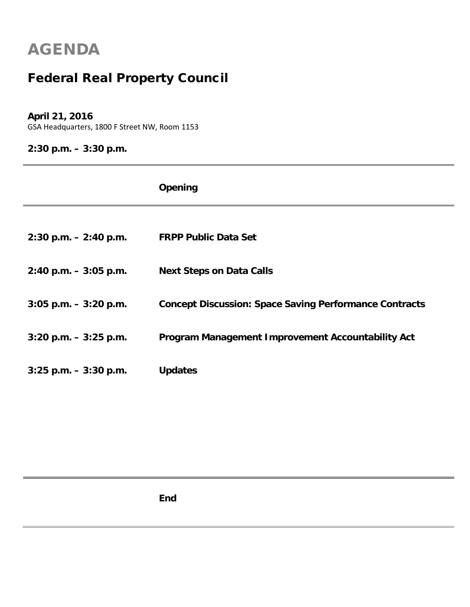## Federal Real Property Council

#### **April 21, 2016**

GSA Headquarters, 1800 F Street NW, Room 1153

**2:30 p.m. – 3:30 p.m.**

|                           | Opening                                                       |
|---------------------------|---------------------------------------------------------------|
|                           |                                                               |
| $2:30$ p.m. $- 2:40$ p.m. | <b>FRPP Public Data Set</b>                                   |
| $2:40$ p.m. $-3:05$ p.m.  | <b>Next Steps on Data Calls</b>                               |
| $3:05$ p.m. $-3:20$ p.m.  | <b>Concept Discussion: Space Saving Performance Contracts</b> |
| $3:20$ p.m. $-3:25$ p.m.  | Program Management Improvement Accountability Act             |
| $3:25$ p.m. $-3:30$ p.m.  | <b>Updates</b>                                                |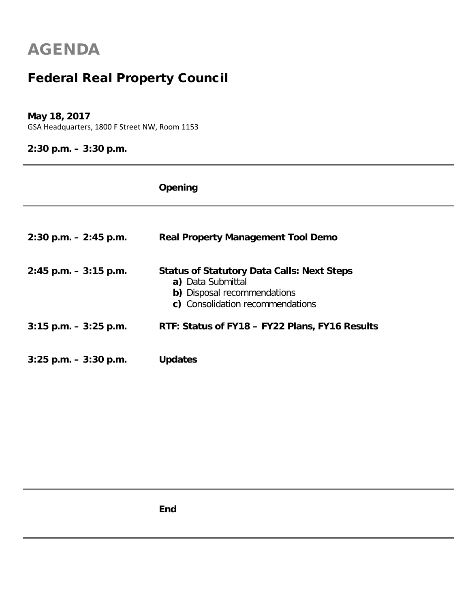## Federal Real Property Council

#### **May 18, 2017**

GSA Headquarters, 1800 F Street NW, Room 1153

#### **2:30 p.m. – 3:30 p.m.**

|                          | Opening                                                                                                                                   |
|--------------------------|-------------------------------------------------------------------------------------------------------------------------------------------|
| $2:30$ p.m. $-2:45$ p.m. | <b>Real Property Management Tool Demo</b>                                                                                                 |
| $2:45$ p.m. $-3:15$ p.m. | <b>Status of Statutory Data Calls: Next Steps</b><br>a) Data Submittal<br>b) Disposal recommendations<br>c) Consolidation recommendations |
| $3:15$ p.m. $-3:25$ p.m. | RTF: Status of FY18 - FY22 Plans, FY16 Results                                                                                            |
| $3:25$ p.m. $-3:30$ p.m. | <b>Updates</b>                                                                                                                            |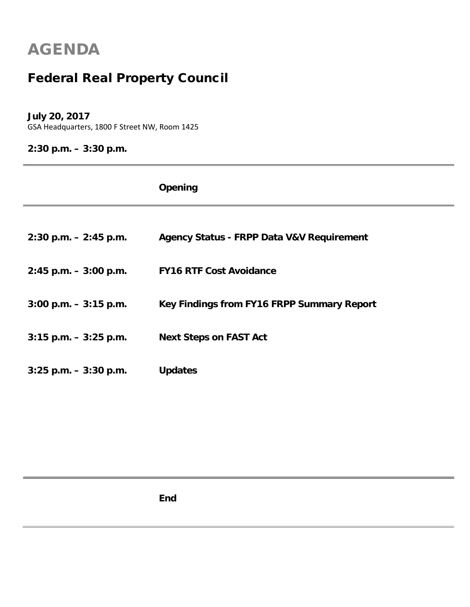## Federal Real Property Council

#### **July 20, 2017**

GSA Headquarters, 1800 F Street NW, Room 1425

### **2:30 p.m. – 3:30 p.m.**

|                          | Opening                                              |
|--------------------------|------------------------------------------------------|
|                          |                                                      |
| $2:30$ p.m. $-2:45$ p.m. | <b>Agency Status - FRPP Data V&amp;V Requirement</b> |
| $2:45$ p.m. $-3:00$ p.m. | <b>FY16 RTF Cost Avoidance</b>                       |
| $3:00$ p.m. $-3:15$ p.m. | Key Findings from FY16 FRPP Summary Report           |
| $3:15$ p.m. $-3:25$ p.m. | <b>Next Steps on FAST Act</b>                        |
| $3:25$ p.m. $-3:30$ p.m. | <b>Updates</b>                                       |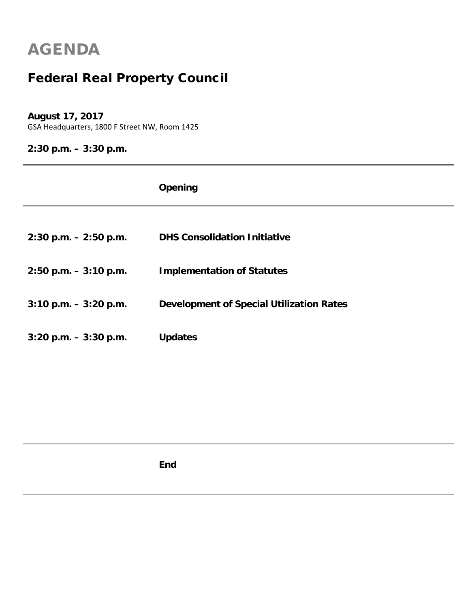## Federal Real Property Council

#### **August 17, 2017**

GSA Headquarters, 1800 F Street NW, Room 1425

**2:30 p.m. – 3:30 p.m.**

|                          | Opening                                         |
|--------------------------|-------------------------------------------------|
|                          |                                                 |
| $2:30$ p.m. $-2:50$ p.m. | <b>DHS Consolidation Initiative</b>             |
| $2:50$ p.m. $-3:10$ p.m. | <b>Implementation of Statutes</b>               |
| $3:10$ p.m. $-3:20$ p.m. | <b>Development of Special Utilization Rates</b> |
| $3:20$ p.m. $-3:30$ p.m. | <b>Updates</b>                                  |